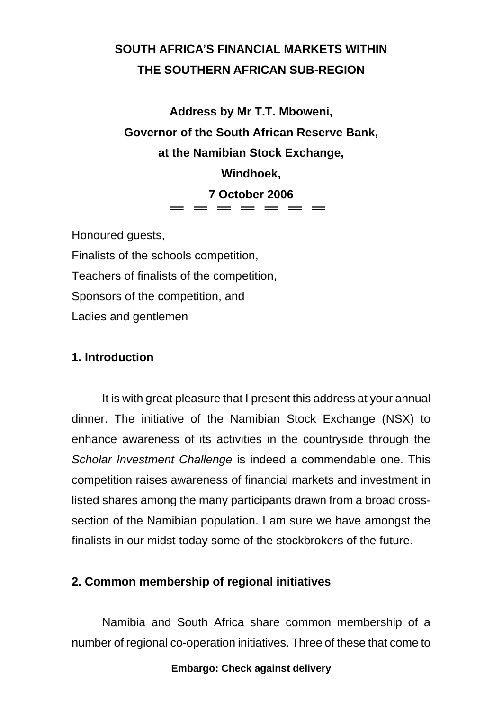# **SOUTH AFRICA'S FINANCIAL MARKETS WITHIN THE SOUTHERN AFRICAN SUB-REGION**

**Address by Mr T.T. Mboweni, Governor of the South African Reserve Bank, at the Namibian Stock Exchange, Windhoek, 7 October 2006**  $=$   $=$   $=$   $=$   $=$   $=$ 

Honoured guests,

Finalists of the schools competition,

Teachers of finalists of the competition,

Sponsors of the competition, and

Ladies and gentlemen

# **1. Introduction**

It is with great pleasure that I present this address at your annual dinner. The initiative of the Namibian Stock Exchange (NSX) to enhance awareness of its activities in the countryside through the *Scholar Investment Challenge* is indeed a commendable one. This competition raises awareness of financial markets and investment in listed shares among the many participants drawn from a broad crosssection of the Namibian population. I am sure we have amongst the finalists in our midst today some of the stockbrokers of the future.

# **2. Common membership of regional initiatives**

Namibia and South Africa share common membership of a number of regional co-operation initiatives. Three of these that come to

### **Embargo: Check against delivery**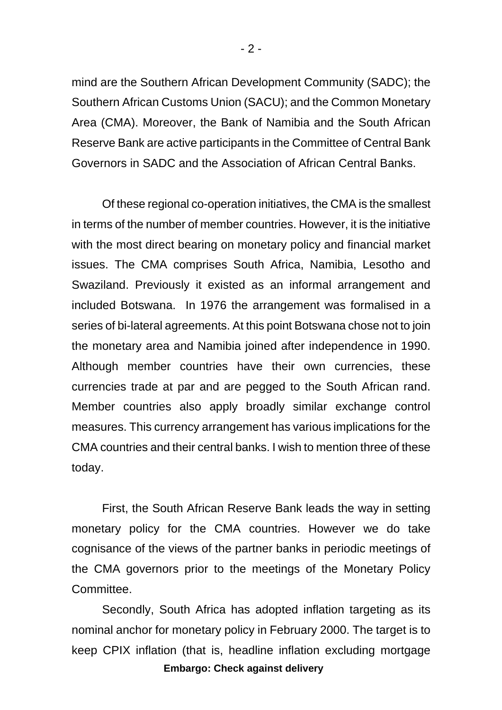mind are the Southern African Development Community (SADC); the Southern African Customs Union (SACU); and the Common Monetary Area (CMA). Moreover, the Bank of Namibia and the South African Reserve Bank are active participants in the Committee of Central Bank Governors in SADC and the Association of African Central Banks.

Of these regional co-operation initiatives, the CMA is the smallest in terms of the number of member countries. However, it is the initiative with the most direct bearing on monetary policy and financial market issues. The CMA comprises South Africa, Namibia, Lesotho and Swaziland. Previously it existed as an informal arrangement and included Botswana. In 1976 the arrangement was formalised in a series of bi-lateral agreements. At this point Botswana chose not to join the monetary area and Namibia joined after independence in 1990. Although member countries have their own currencies, these currencies trade at par and are pegged to the South African rand. Member countries also apply broadly similar exchange control measures. This currency arrangement has various implications for the CMA countries and their central banks. I wish to mention three of these today.

First, the South African Reserve Bank leads the way in setting monetary policy for the CMA countries. However we do take cognisance of the views of the partner banks in periodic meetings of the CMA governors prior to the meetings of the Monetary Policy Committee.

**Embargo: Check against delivery**  Secondly, South Africa has adopted inflation targeting as its nominal anchor for monetary policy in February 2000. The target is to keep CPIX inflation (that is, headline inflation excluding mortgage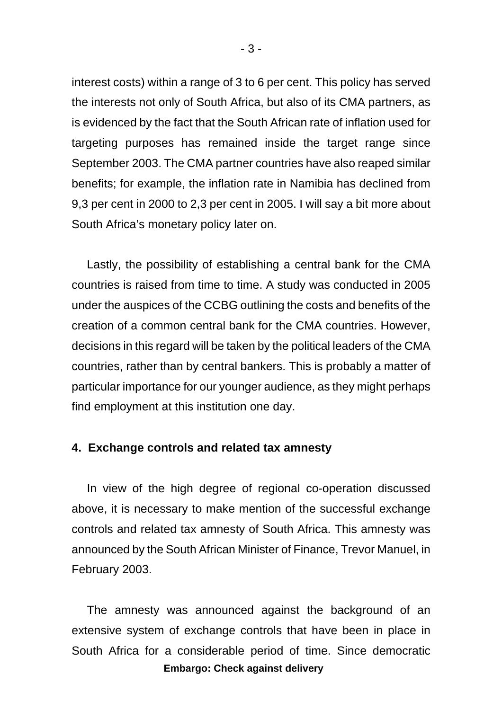interest costs) within a range of 3 to 6 per cent. This policy has served the interests not only of South Africa, but also of its CMA partners, as is evidenced by the fact that the South African rate of inflation used for targeting purposes has remained inside the target range since September 2003. The CMA partner countries have also reaped similar benefits; for example, the inflation rate in Namibia has declined from 9,3 per cent in 2000 to 2,3 per cent in 2005. I will say a bit more about South Africa's monetary policy later on.

Lastly, the possibility of establishing a central bank for the CMA countries is raised from time to time. A study was conducted in 2005 under the auspices of the CCBG outlining the costs and benefits of the creation of a common central bank for the CMA countries. However, decisions in this regard will be taken by the political leaders of the CMA countries, rather than by central bankers. This is probably a matter of particular importance for our younger audience, as they might perhaps find employment at this institution one day.

### **4. Exchange controls and related tax amnesty**

In view of the high degree of regional co-operation discussed above, it is necessary to make mention of the successful exchange controls and related tax amnesty of South Africa. This amnesty was announced by the South African Minister of Finance, Trevor Manuel, in February 2003.

**Embargo: Check against delivery**  The amnesty was announced against the background of an extensive system of exchange controls that have been in place in South Africa for a considerable period of time. Since democratic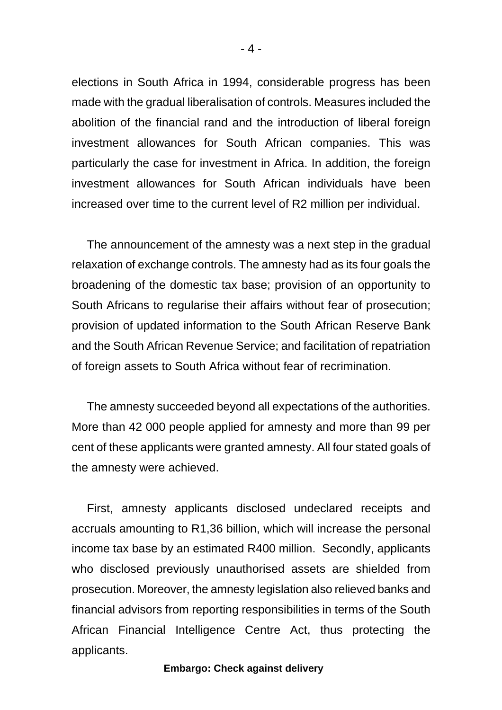elections in South Africa in 1994, considerable progress has been made with the gradual liberalisation of controls. Measures included the abolition of the financial rand and the introduction of liberal foreign investment allowances for South African companies. This was particularly the case for investment in Africa. In addition, the foreign investment allowances for South African individuals have been increased over time to the current level of R2 million per individual.

The announcement of the amnesty was a next step in the gradual relaxation of exchange controls. The amnesty had as its four goals the broadening of the domestic tax base; provision of an opportunity to South Africans to regularise their affairs without fear of prosecution; provision of updated information to the South African Reserve Bank and the South African Revenue Service; and facilitation of repatriation of foreign assets to South Africa without fear of recrimination.

The amnesty succeeded beyond all expectations of the authorities. More than 42 000 people applied for amnesty and more than 99 per cent of these applicants were granted amnesty. All four stated goals of the amnesty were achieved.

First, amnesty applicants disclosed undeclared receipts and accruals amounting to R1,36 billion, which will increase the personal income tax base by an estimated R400 million. Secondly, applicants who disclosed previously unauthorised assets are shielded from prosecution. Moreover, the amnesty legislation also relieved banks and financial advisors from reporting responsibilities in terms of the South African Financial Intelligence Centre Act, thus protecting the applicants.

#### **Embargo: Check against delivery**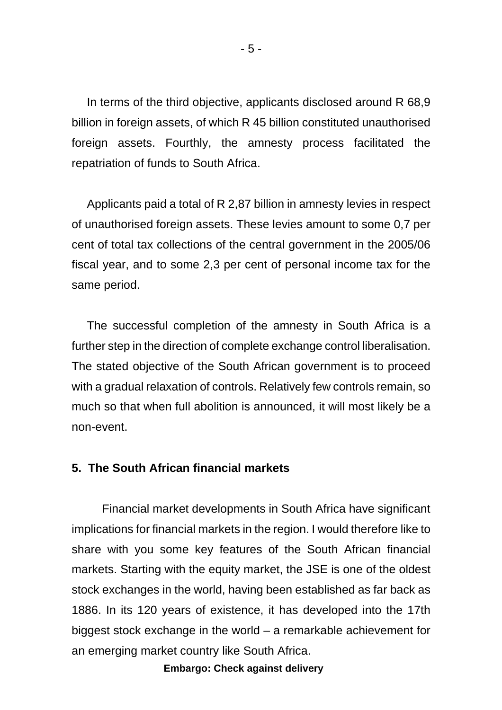In terms of the third objective, applicants disclosed around R 68,9 billion in foreign assets, of which R 45 billion constituted unauthorised foreign assets. Fourthly, the amnesty process facilitated the repatriation of funds to South Africa.

Applicants paid a total of R 2,87 billion in amnesty levies in respect of unauthorised foreign assets. These levies amount to some 0,7 per cent of total tax collections of the central government in the 2005/06 fiscal year, and to some 2,3 per cent of personal income tax for the same period.

The successful completion of the amnesty in South Africa is a further step in the direction of complete exchange control liberalisation. The stated objective of the South African government is to proceed with a gradual relaxation of controls. Relatively few controls remain, so much so that when full abolition is announced, it will most likely be a non-event.

### **5. The South African financial markets**

Financial market developments in South Africa have significant implications for financial markets in the region. I would therefore like to share with you some key features of the South African financial markets. Starting with the equity market, the JSE is one of the oldest stock exchanges in the world, having been established as far back as 1886. In its 120 years of existence, it has developed into the 17th biggest stock exchange in the world – a remarkable achievement for an emerging market country like South Africa.

**Embargo: Check against delivery**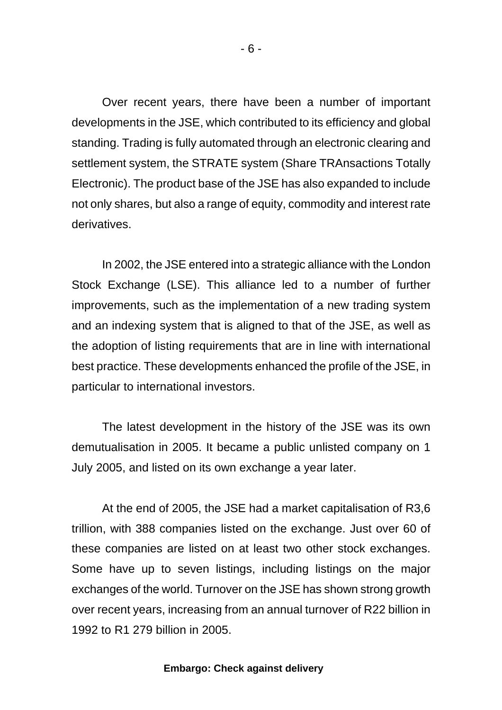Over recent years, there have been a number of important developments in the JSE, which contributed to its efficiency and global standing. Trading is fully automated through an electronic clearing and settlement system, the STRATE system (Share TRAnsactions Totally Electronic). The product base of the JSE has also expanded to include not only shares, but also a range of equity, commodity and interest rate derivatives.

In 2002, the JSE entered into a strategic alliance with the London Stock Exchange (LSE). This alliance led to a number of further improvements, such as the implementation of a new trading system and an indexing system that is aligned to that of the JSE, as well as the adoption of listing requirements that are in line with international best practice. These developments enhanced the profile of the JSE, in particular to international investors.

The latest development in the history of the JSE was its own demutualisation in 2005. It became a public unlisted company on 1 July 2005, and listed on its own exchange a year later.

At the end of 2005, the JSE had a market capitalisation of R3,6 trillion, with 388 companies listed on the exchange. Just over 60 of these companies are listed on at least two other stock exchanges. Some have up to seven listings, including listings on the major exchanges of the world. Turnover on the JSE has shown strong growth over recent years, increasing from an annual turnover of R22 billion in 1992 to R1 279 billion in 2005.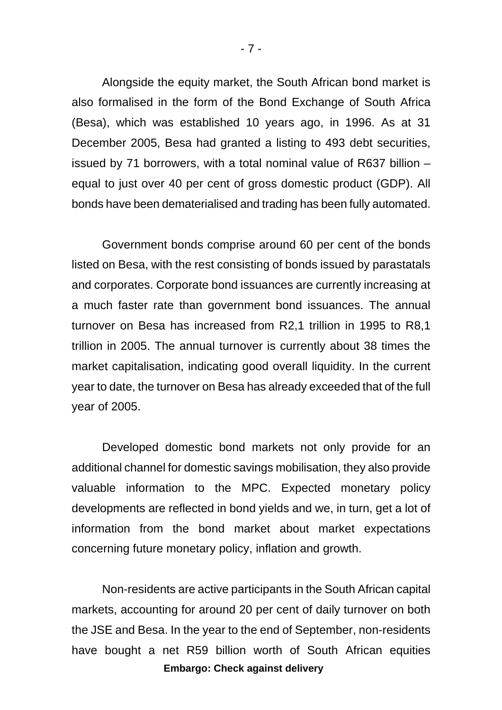Alongside the equity market, the South African bond market is also formalised in the form of the Bond Exchange of South Africa (Besa), which was established 10 years ago, in 1996. As at 31 December 2005, Besa had granted a listing to 493 debt securities, issued by 71 borrowers, with a total nominal value of R637 billion – equal to just over 40 per cent of gross domestic product (GDP). All bonds have been dematerialised and trading has been fully automated.

Government bonds comprise around 60 per cent of the bonds listed on Besa, with the rest consisting of bonds issued by parastatals and corporates. Corporate bond issuances are currently increasing at a much faster rate than government bond issuances. The annual turnover on Besa has increased from R2,1 trillion in 1995 to R8,1 trillion in 2005. The annual turnover is currently about 38 times the market capitalisation, indicating good overall liquidity. In the current year to date, the turnover on Besa has already exceeded that of the full year of 2005.

 Developed domestic bond markets not only provide for an additional channel for domestic savings mobilisation, they also provide valuable information to the MPC. Expected monetary policy developments are reflected in bond yields and we, in turn, get a lot of information from the bond market about market expectations concerning future monetary policy, inflation and growth.

**Embargo: Check against delivery**  Non-residents are active participants in the South African capital markets, accounting for around 20 per cent of daily turnover on both the JSE and Besa. In the year to the end of September, non-residents have bought a net R59 billion worth of South African equities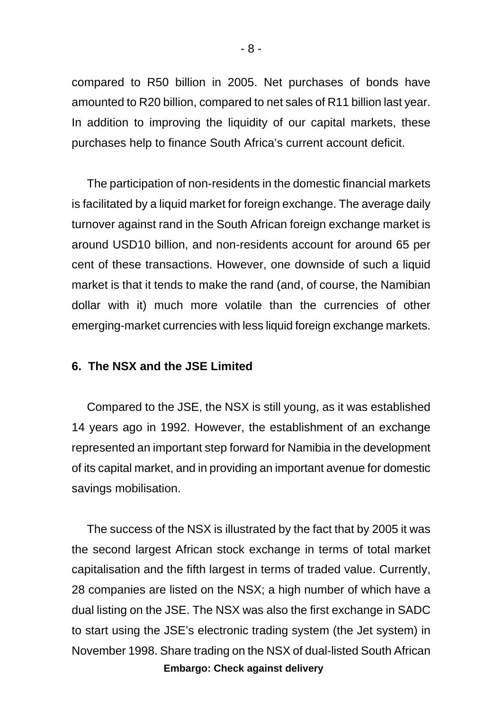compared to R50 billion in 2005. Net purchases of bonds have amounted to R20 billion, compared to net sales of R11 billion last year. In addition to improving the liquidity of our capital markets, these purchases help to finance South Africa's current account deficit.

The participation of non-residents in the domestic financial markets is facilitated by a liquid market for foreign exchange. The average daily turnover against rand in the South African foreign exchange market is around USD10 billion, and non-residents account for around 65 per cent of these transactions. However, one downside of such a liquid market is that it tends to make the rand (and, of course, the Namibian dollar with it) much more volatile than the currencies of other emerging-market currencies with less liquid foreign exchange markets.

### **6. The NSX and the JSE Limited**

Compared to the JSE, the NSX is still young, as it was established 14 years ago in 1992. However, the establishment of an exchange represented an important step forward for Namibia in the development of its capital market, and in providing an important avenue for domestic savings mobilisation.

**Embargo: Check against delivery**  The success of the NSX is illustrated by the fact that by 2005 it was the second largest African stock exchange in terms of total market capitalisation and the fifth largest in terms of traded value. Currently, 28 companies are listed on the NSX; a high number of which have a dual listing on the JSE. The NSX was also the first exchange in SADC to start using the JSE's electronic trading system (the Jet system) in November 1998. Share trading on the NSX of dual-listed South African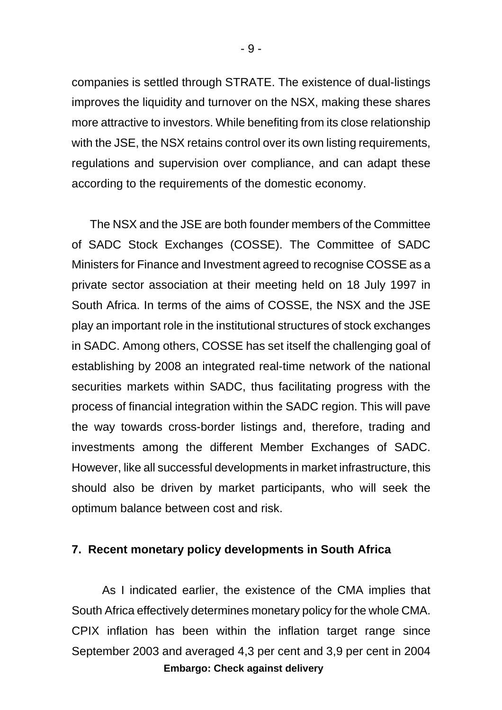companies is settled through STRATE. The existence of dual-listings improves the liquidity and turnover on the NSX, making these shares more attractive to investors. While benefiting from its close relationship with the JSE, the NSX retains control over its own listing requirements, regulations and supervision over compliance, and can adapt these according to the requirements of the domestic economy.

 The NSX and the JSE are both founder members of the Committee of SADC Stock Exchanges (COSSE). The Committee of SADC Ministers for Finance and Investment agreed to recognise COSSE as a private sector association at their meeting held on 18 July 1997 in South Africa. In terms of the aims of COSSE, the NSX and the JSE play an important role in the institutional structures of stock exchanges in SADC. Among others, COSSE has set itself the challenging goal of establishing by 2008 an integrated real-time network of the national securities markets within SADC, thus facilitating progress with the process of financial integration within the SADC region. This will pave the way towards cross-border listings and, therefore, trading and investments among the different Member Exchanges of SADC. However, like all successful developments in market infrastructure, this should also be driven by market participants, who will seek the optimum balance between cost and risk.

### **7. Recent monetary policy developments in South Africa**

**Embargo: Check against delivery**  As I indicated earlier, the existence of the CMA implies that South Africa effectively determines monetary policy for the whole CMA. CPIX inflation has been within the inflation target range since September 2003 and averaged 4,3 per cent and 3,9 per cent in 2004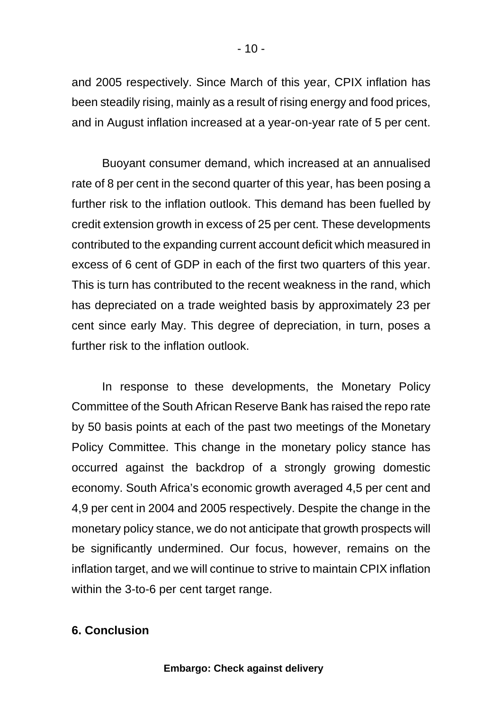and 2005 respectively. Since March of this year, CPIX inflation has been steadily rising, mainly as a result of rising energy and food prices, and in August inflation increased at a year-on-year rate of 5 per cent.

Buoyant consumer demand, which increased at an annualised rate of 8 per cent in the second quarter of this year, has been posing a further risk to the inflation outlook. This demand has been fuelled by credit extension growth in excess of 25 per cent. These developments contributed to the expanding current account deficit which measured in excess of 6 cent of GDP in each of the first two quarters of this year. This is turn has contributed to the recent weakness in the rand, which has depreciated on a trade weighted basis by approximately 23 per cent since early May. This degree of depreciation, in turn, poses a further risk to the inflation outlook.

In response to these developments, the Monetary Policy Committee of the South African Reserve Bank has raised the repo rate by 50 basis points at each of the past two meetings of the Monetary Policy Committee. This change in the monetary policy stance has occurred against the backdrop of a strongly growing domestic economy. South Africa's economic growth averaged 4,5 per cent and 4,9 per cent in 2004 and 2005 respectively. Despite the change in the monetary policy stance, we do not anticipate that growth prospects will be significantly undermined. Our focus, however, remains on the inflation target, and we will continue to strive to maintain CPIX inflation within the 3-to-6 per cent target range.

# **6. Conclusion**